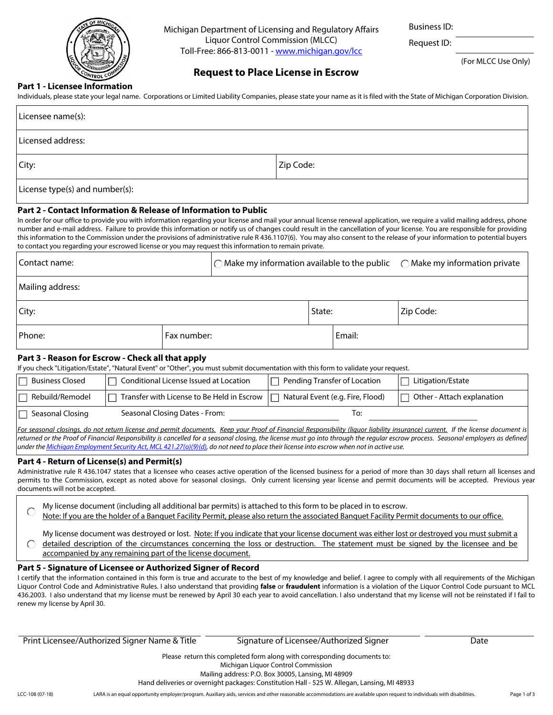

Michigan Department of Licensing and Regulatory Affairs Liquor Control Commission (MLCC) Toll-Free: 866-813-0011 - [www.michigan.gov/lcc](http://www.michigan.gov/lcc)

Business ID:

Request ID:

(For MLCC Use Only)

# **Request to Place License in Escrow**

## **Part 1 - Licensee Information**

Individuals, please state your legal name. Corporations or Limited Liability Companies, please state your name as it is filed with the State of Michigan Corporation Division.

| Licensee name(s):                                                                                                                                                                                                                                                                                                                                                                                                                                                                                                                                                                                                                                                                                                 |             |                                                        |           |        |                                        |           |
|-------------------------------------------------------------------------------------------------------------------------------------------------------------------------------------------------------------------------------------------------------------------------------------------------------------------------------------------------------------------------------------------------------------------------------------------------------------------------------------------------------------------------------------------------------------------------------------------------------------------------------------------------------------------------------------------------------------------|-------------|--------------------------------------------------------|-----------|--------|----------------------------------------|-----------|
| Licensed address:                                                                                                                                                                                                                                                                                                                                                                                                                                                                                                                                                                                                                                                                                                 |             |                                                        |           |        |                                        |           |
| City:                                                                                                                                                                                                                                                                                                                                                                                                                                                                                                                                                                                                                                                                                                             |             |                                                        | Zip Code: |        |                                        |           |
| License type(s) and number(s):                                                                                                                                                                                                                                                                                                                                                                                                                                                                                                                                                                                                                                                                                    |             |                                                        |           |        |                                        |           |
| Part 2 - Contact Information & Release of Information to Public<br>In order for our office to provide you with information regarding your license and mail your annual license renewal application, we require a valid mailing address, phone<br>number and e-mail address. Failure to provide this information or notify us of changes could result in the cancellation of your license. You are responsible for providing<br>this information to the Commission under the provisions of administrative rule R 436.1107(6). You may also consent to the release of your information to potential buyers<br>to contact you regarding your escrowed license or you may request this information to remain private. |             |                                                        |           |        |                                        |           |
| Contact name:                                                                                                                                                                                                                                                                                                                                                                                                                                                                                                                                                                                                                                                                                                     |             | $\bigcirc$ Make my information available to the public |           |        | $\bigcirc$ Make my information private |           |
| Mailing address:                                                                                                                                                                                                                                                                                                                                                                                                                                                                                                                                                                                                                                                                                                  |             |                                                        |           |        |                                        |           |
| City:                                                                                                                                                                                                                                                                                                                                                                                                                                                                                                                                                                                                                                                                                                             |             |                                                        |           | State: |                                        | Zip Code: |
| Phone:                                                                                                                                                                                                                                                                                                                                                                                                                                                                                                                                                                                                                                                                                                            | Fax number: |                                                        |           |        | Email:                                 |           |

## **Part 3 - Reason for Escrow - Check all that apply**

If you check "Litigation/Estate", "Natural Event" or "Other", you must submit documentation with this form to validate your request.

| <b>Business Closed</b> | Conditional License Issued at Location     | $\Box$ Pending Transfer of Location | Litigation/Estate                       |
|------------------------|--------------------------------------------|-------------------------------------|-----------------------------------------|
| Rebuild/Remodel        | Transfer with License to Be Held in Escrow | Natural Event (e.g. Fire, Flood)    | <sup>1</sup> Other - Attach explanation |
| Seasonal Closing       | Seasonal Closing Dates - From:             | lo:                                 |                                         |

*For seasonal closings, do not return license and permit documents. Keep your Proof of Financial Responsibility (liquor liability insurance) current. If the license document is*  returned or the Proof of Financial Responsibility is cancelled for a seasonal closing, the license must go into through the regular escrow process. Seasonal employers as defined *under the [Michigan Employment Security Act, MCL 421.27\(o\)\(9\)\(d\),](http://legislature.mi.gov/doc.aspx?mcl-421-27) do not need to place their license into escrow when not in active use.*

## **Part 4 - Return of License(s) and Permit(s)**

Administrative rule R 436.1047 states that a licensee who ceases active operation of the licensed business for a period of more than 30 days shall return all licenses and permits to the Commission, except as noted above for seasonal closings. Only current licensing year license and permit documents will be accepted. Previous year documents will not be accepted.

- My license document (including all additional bar permits) is attached to this form to be placed in to escrow. C
- Note: If you are the holder of a Banquet Facility Permit, please also return the associated Banquet Facility Permit documents to our office.
- My license document was destroyed or lost. Note: If you indicate that your license document was either lost or destroyed you must submit a detailed description of the circumstances concerning the loss or destruction. The statement must be signed by the licensee and be  $\bigcap$ accompanied by any remaining part of the license document.

# **Part 5 - Signature of Licensee or Authorized Signer of Record**

I certify that the information contained in this form is true and accurate to the best of my knowledge and belief. I agree to comply with all requirements of the Michigan Liquor Control Code and Administrative Rules. I also understand that providing **false** or **fraudulent** information is a violation of the Liquor Control Code pursuant to MCL 436.2003. I also understand that my license must be renewed by April 30 each year to avoid cancellation. I also understand that my license will not be reinstated if I fail to renew my license by April 30.

Print Licensee/Authorized Signer Name & Title Signature of Licensee/Authorized Signer Date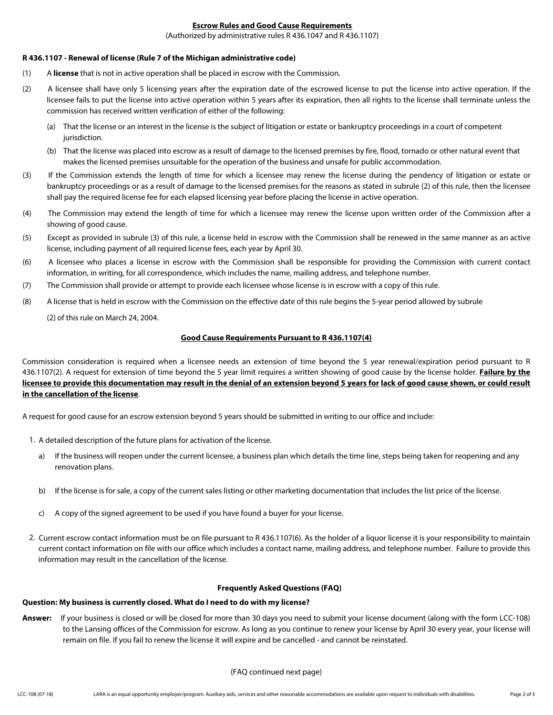## **Escrow Rules and Good Cause Requirements**

(Authorized by administrative rules R 436.1047 and R 436.1107)

#### **R 436.1107 - Renewal of license (Rule 7 of the Michigan administrative code)**

- (1) A **license** that is not in active operation shall be placed in escrow with the Commission.
- (2) A licensee shall have only 5 licensing years after the expiration date of the escrowed license to put the license into active operation. If the licensee fails to put the license into active operation within 5 years after its expiration, then all rights to the license shall terminate unless the commission has received written verification of either of the following:
	- (a) That the license or an interest in the license is the subject of litigation or estate or bankruptcy proceedings in a court of competent jurisdiction.
	- (b) That the license was placed into escrow as a result of damage to the licensed premises by fire, flood, tornado or other natural event that makes the licensed premises unsuitable for the operation of the business and unsafe for public accommodation.
- (3) If the Commission extends the length of time for which a licensee may renew the license during the pendency of litigation or estate or bankruptcy proceedings or as a result of damage to the licensed premises for the reasons as stated in subrule (2) of this rule, then the licensee shall pay the required license fee for each elapsed licensing year before placing the license in active operation.
- (4) The Commission may extend the length of time for which a licensee may renew the license upon written order of the Commission after a showing of good cause.
- (5) Except as provided in subrule (3) of this rule, a license held in escrow with the Commission shall be renewed in the same manner as an active license, including payment of all required license fees, each year by April 30.
- (6) A licensee who places a license in escrow with the Commission shall be responsible for providing the Commission with current contact information, in writing, for all correspondence, which includes the name, mailing address, and telephone number.
- (7) The Commission shall provide or attempt to provide each licensee whose license is in escrow with a copy of this rule.
- (8) A license that is held in escrow with the Commission on the effective date of this rule begins the 5-year period allowed by subrule

(2) of this rule on March 24, 2004.

## **Good Cause Requirements Pursuant to R 436.1107(4)**

Commission consideration is required when a licensee needs an extension of time beyond the 5 year renewal/expiration period pursuant to R 436.1107(2). A request for extension of time beyond the 5 year limit requires a written showing of good cause by the license holder. **Failure by the licensee to provide this documentation may result in the denial of an extension beyond 5 years for lack of good cause shown, or could result in the cancellation of the license**.

A request for good cause for an escrow extension beyond 5 years should be submitted in writing to our office and include:

- 1. A detailed description of the future plans for activation of the license.
	- a) If the business will reopen under the current licensee, a business plan which details the time line, steps being taken for reopening and any renovation plans.
	- b) If the license is for sale, a copy of the current sales listing or other marketing documentation that includes the list price of the license.
	- c) A copy of the signed agreement to be used if you have found a buyer for your license.
- 2. Current escrow contact information must be on file pursuant to R 436.1107(6). As the holder of a liquor license it is your responsibility to maintain current contact information on file with our office which includes a contact name, mailing address, and telephone number. Failure to provide this information may result in the cancellation of the license.

#### **Frequently Asked Questions (FAQ)**

#### **Question: My business is currently closed. What do I need to do with my license?**

**Answer:** If your business is closed or will be closed for more than 30 days you need to submit your license document (along with the form LCC-108) to the Lansing offices of the Commission for escrow. As long as you continue to renew your license by April 30 every year, your license will remain on file. If you fail to renew the license it will expire and be cancelled - and cannot be reinstated.

## (FAQ continued next page)